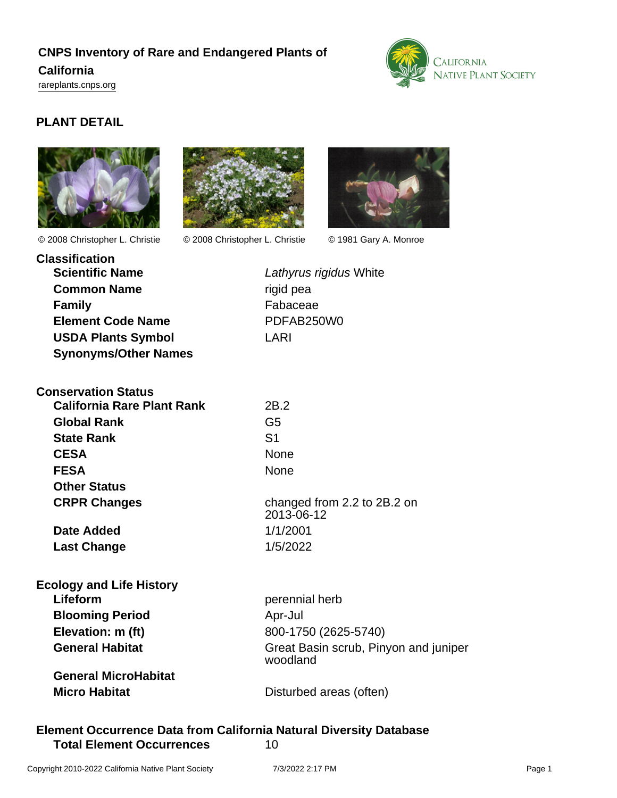# **CNPS Inventory of Rare and Endangered Plants of California**

<rareplants.cnps.org>



## **PLANT DETAIL**





© 2008 Christopher L. Christie © 2008 Christopher L. Christie © 1981 Gary A. Monroe



| <b>Classification</b>       |                  |
|-----------------------------|------------------|
| <b>Scientific Name</b>      | Lathy            |
| <b>Common Name</b>          | rigid            |
| <b>Family</b>               | Faba             |
| <b>Element Code Name</b>    | PDF <sub>/</sub> |
| <b>USDA Plants Symbol</b>   | I ARI            |
| <b>Synonyms/Other Names</b> |                  |

Lathyrus rigidus White rigid pea **Fabaceae Element Code Name** PDFAB250W0

| <b>Conservation Status</b>        |                                           |
|-----------------------------------|-------------------------------------------|
| <b>California Rare Plant Rank</b> | 2B.2                                      |
| <b>Global Rank</b>                | G5                                        |
| <b>State Rank</b>                 | S1                                        |
| <b>CESA</b>                       | <b>None</b>                               |
| <b>FESA</b>                       | <b>None</b>                               |
| <b>Other Status</b>               |                                           |
| <b>CRPR Changes</b>               | changed from 2.2 to 2B.2 on<br>2013-06-12 |
| Date Added                        | 1/1/2001                                  |
| <b>Last Change</b>                | 1/5/2022                                  |
|                                   |                                           |

| <b>Ecology and Life History</b> |                                                   |
|---------------------------------|---------------------------------------------------|
| Lifeform                        | perennial herb                                    |
| <b>Blooming Period</b>          | Apr-Jul                                           |
| Elevation: m (ft)               | 800-1750 (2625-5740)                              |
| <b>General Habitat</b>          | Great Basin scrub, Pinyon and juniper<br>woodland |
| <b>General MicroHabitat</b>     |                                                   |
| <b>Micro Habitat</b>            | Disturbed areas (often)                           |

## **Element Occurrence Data from California Natural Diversity Database Total Element Occurrences** 10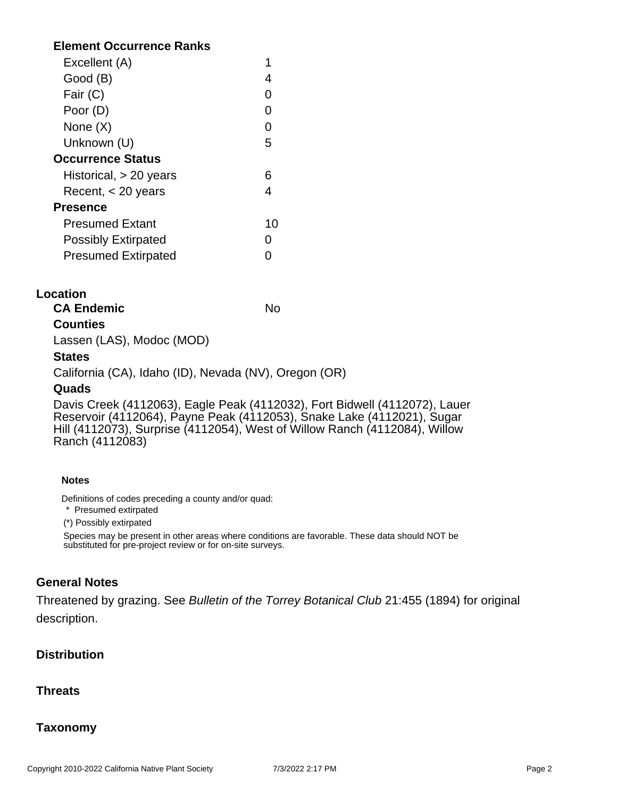## **Element Occurrence Ranks**

| Excellent (A)              |    |
|----------------------------|----|
| Good (B)                   |    |
| Fair (C)                   |    |
| Poor (D)                   |    |
| None (X)                   |    |
| Unknown (U)                | 5  |
| <b>Occurrence Status</b>   |    |
| Historical, > 20 years     |    |
| Recent, $<$ 20 years       |    |
| <b>Presence</b>            |    |
| <b>Presumed Extant</b>     | 10 |
| <b>Possibly Extirpated</b> |    |
| <b>Presumed Extirpated</b> |    |

#### **Location**

**CA Endemic** No

## **Counties**

Lassen (LAS), Modoc (MOD)

#### **States**

California (CA), Idaho (ID), Nevada (NV), Oregon (OR)

#### **Quads**

Davis Creek (4112063), Eagle Peak (4112032), Fort Bidwell (4112072), Lauer Reservoir (4112064), Payne Peak (4112053), Snake Lake (4112021), Sugar Hill (4112073), Surprise (4112054), West of Willow Ranch (4112084), Willow Ranch (4112083)

#### **Notes**

Definitions of codes preceding a county and/or quad:

\* Presumed extirpated

(\*) Possibly extirpated

Species may be present in other areas where conditions are favorable. These data should NOT be substituted for pre-project review or for on-site surveys.

## **General Notes**

Threatened by grazing. See Bulletin of the Torrey Botanical Club 21:455 (1894) for original description.

## **Distribution**

## **Threats**

## **Taxonomy**